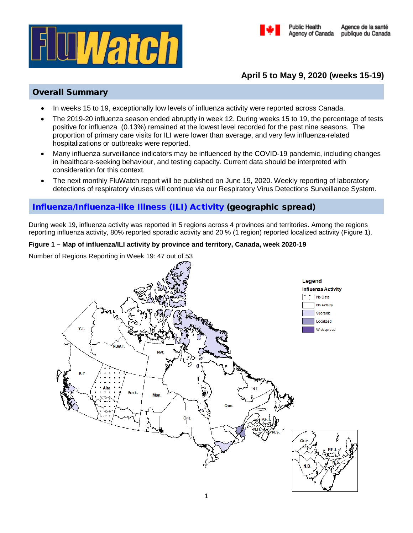



# **April 5 to May 9, 2020 (weeks 15-19)**

**Public Health** 

## Overall Summary

- In weeks 15 to 19, exceptionally low levels of influenza activity were reported across Canada.
- The 2019-20 influenza season ended abruptly in week 12. During weeks 15 to 19, the percentage of tests positive for influenza (0.13%) remained at the lowest level recorded for the past nine seasons. The proportion of primary care visits for ILI were lower than average, and very few influenza-related hospitalizations or outbreaks were reported.
- Many influenza surveillance indicators may be influenced by the COVID-19 pandemic, including changes in healthcare-seeking behaviour, and testing capacity. Current data should be interpreted with consideration for this context.
- The next monthly FluWatch report will be published on June 19, 2020. Weekly reporting of laboratory detections of respiratory viruses will continue via our Respiratory Virus Detections Surveillance System.

# [Influenza/Influenza-like Illness \(ILI\) Activity](https://www.canada.ca/en/public-health/services/diseases/flu-influenza/influenza-surveillance/about-fluwatch.html#a2) (geographic spread)

During week 19, influenza activity was reported in 5 regions across 4 provinces and territories. Among the regions reporting influenza activity, 80% reported sporadic activity and 20 % (1 region) reported localized activity (Figure 1).

## **Figure 1 – Map of influenza/ILI activity by province and territory, Canada, week 2020-19**

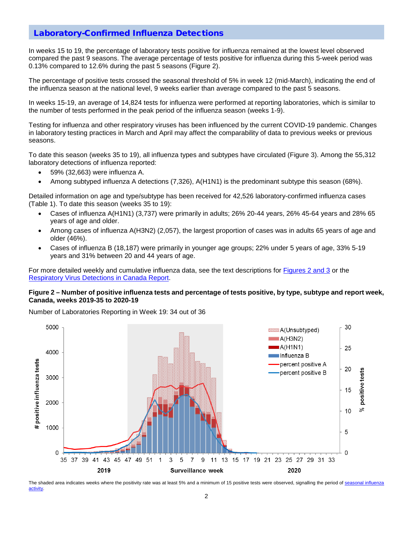## [Laboratory-Confirmed Influenza Detections](https://www.canada.ca/en/public-health/services/diseases/flu-influenza/influenza-surveillance/about-fluwatch.html#a3)

In weeks 15 to 19, the percentage of laboratory tests positive for influenza remained at the lowest level observed compared the past 9 seasons. The average percentage of tests positive for influenza during this 5-week period was 0.13% compared to 12.6% during the past 5 seasons (Figure 2).

The percentage of positive tests crossed the seasonal threshold of 5% in week 12 (mid-March), indicating the end of the influenza season at the national level, 9 weeks earlier than average compared to the past 5 seasons.

In weeks 15-19, an average of 14,824 tests for influenza were performed at reporting laboratories, which is similar to the number of tests performed in the peak period of the influenza season (weeks 1-9).

Testing for influenza and other respiratory viruses has been influenced by the current COVID-19 pandemic. Changes in laboratory testing practices in March and April may affect the comparability of data to previous weeks or previous seasons.

To date this season (weeks 35 to 19), all influenza types and subtypes have circulated (Figure 3). Among the 55,312 laboratory detections of influenza reported:

- 59% (32,663) were influenza A.
- Among subtyped influenza A detections (7,326), A(H1N1) is the predominant subtype this season (68%).

Detailed information on age and type/subtype has been received for 42,526 laboratory-confirmed influenza cases (Table 1). To date this season (weeks 35 to 19):

- Cases of influenza A(H1N1) (3,737) were primarily in adults; 26% 20-44 years, 26% 45-64 years and 28% 65 years of age and older.
- Among cases of influenza A(H3N2) (2,057), the largest proportion of cases was in adults 65 years of age and older (46%).
- Cases of influenza B (18,187) were primarily in younger age groups; 22% under 5 years of age, 33% 5-19 years and 31% between 20 and 44 years of age.

For more detailed weekly and cumulative influenza data, see the text descriptions for [Figures 2 and 3](https://www.canada.ca/en/public-health/services/diseases/flu-influenza/influenza-surveillance/weekly-influenza-reports.html) or the [Respiratory Virus Detections in Canada Report.](https://www.canada.ca/en/public-health/services/surveillance/respiratory-virus-detections-canada.html)

#### **Figure 2 – Number of positive influenza tests and percentage of tests positive, by type, subtype and report week, Canada, weeks 2019-35 to 2020-19**

Number of Laboratories Reporting in Week 19: 34 out of 36



The shaded area indicates weeks where the positivity rate was at least 5% and a minimum of 15 positive tests were observed, signalling the period of seasonal influenza [activity.](https://journals.plos.org/plosone/article?id=10.1371/journal.pone.0141776)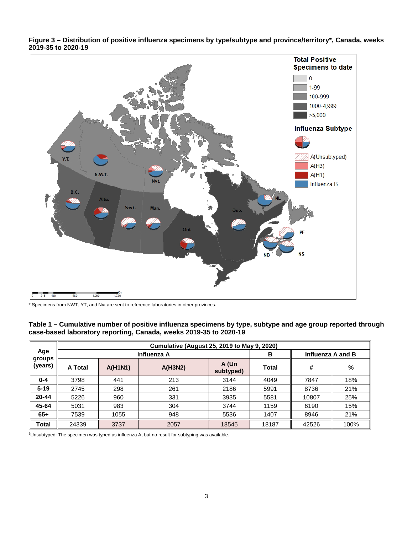

**Figure 3 – Distribution of positive influenza specimens by type/subtype and province/territory\*, Canada, weeks 2019-35 to 2020-19**

\* Specimens from NWT, YT, and Nvt are sent to reference laboratories in other provinces.

| Table 1 – Cumulative number of positive influenza specimens by type, subtype and age group reported through |
|-------------------------------------------------------------------------------------------------------------|
| case-based laboratory reporting, Canada, weeks 2019-35 to 2020-19                                           |

|                          | <b>Cumulative (August 25, 2019 to May 9, 2020)</b> |                |         |                    |              |                   |      |  |
|--------------------------|----------------------------------------------------|----------------|---------|--------------------|--------------|-------------------|------|--|
| Age<br>groups<br>(years) | Influenza A                                        |                |         |                    | в            | Influenza A and B |      |  |
|                          | A Total                                            | <b>A(H1N1)</b> | A(H3N2) | A (Un<br>subtyped) | <b>Total</b> | #                 | %    |  |
| $0 - 4$                  | 3798                                               | 441            | 213     | 3144               | 4049         | 7847              | 18%  |  |
| $5 - 19$                 | 2745                                               | 298            | 261     | 2186               | 5991         | 8736              | 21%  |  |
| 20-44                    | 5226                                               | 960            | 331     | 3935               | 5581         | 10807             | 25%  |  |
| 45-64                    | 5031                                               | 983            | 304     | 3744               | 1159         | 6190              | 15%  |  |
| $65+$                    | 7539                                               | 1055           | 948     | 5536               | 1407         | 8946              | 21%  |  |
| Total                    | 24339                                              | 3737           | 2057    | 18545              | 18187        | 42526             | 100% |  |

1 Unsubtyped: The specimen was typed as influenza A, but no result for subtyping was available.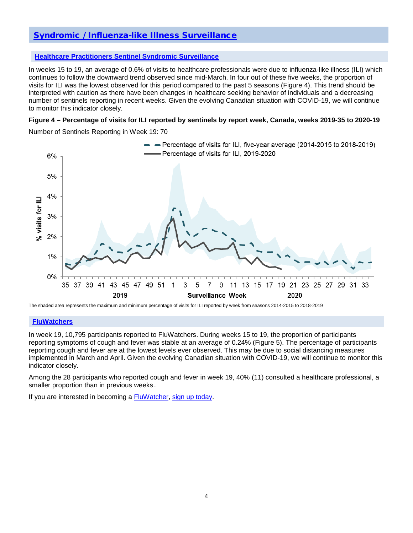# [Syndromic / Influenza-like Illness Surveillance](https://www.canada.ca/en/public-health/services/diseases/flu-influenza/influenza-surveillance/about-fluwatch.html#a4)

### **[Healthcare Practitioners Sentinel Syndromic Surveillance](https://www.canada.ca/en/public-health/services/diseases/flu-influenza/influenza-surveillance/influenza-sentinel-recruiters.html)**

In weeks 15 to 19, an average of 0.6% of visits to healthcare professionals were due to influenza-like illness (ILI) which continues to follow the downward trend observed since mid-March. In four out of these five weeks, the proportion of visits for ILI was the lowest observed for this period compared to the past 5 seasons (Figure 4). This trend should be interpreted with caution as there have been changes in healthcare seeking behavior of individuals and a decreasing number of sentinels reporting in recent weeks. Given the evolving Canadian situation with COVID-19, we will continue to monitor this indicator closely.

### **Figure 4 – Percentage of visits for ILI reported by sentinels by report week, Canada, weeks 2019-35 to 2020-19**

Number of Sentinels Reporting in Week 19: 70



The shaded area represents the maximum and minimum percentage of visits for ILI reported by week from seasons 2014-2015 to 2018-2019

#### **[FluWatchers](https://www.canada.ca/en/public-health/services/diseases/flu-influenza/fluwatcher.html)**

In week 19, 10,795 participants reported to FluWatchers. During weeks 15 to 19, the proportion of participants reporting symptoms of cough and fever was stable at an average of 0.24% (Figure 5). The percentage of participants reporting cough and fever are at the lowest levels ever observed. This may be due to social distancing measures implemented in March and April. Given the evolving Canadian situation with COVID-19, we will continue to monitor this indicator closely.

Among the 28 participants who reported cough and fever in week 19, 40% (11) consulted a healthcare professional, a smaller proportion than in previous weeks..

If you are interested in becoming a [FluWatcher,](https://www.canada.ca/en/public-health/services/diseases/flu-influenza/fluwatcher.html) [sign up today.](https://cnphi.canada.ca/fluWatcher/register)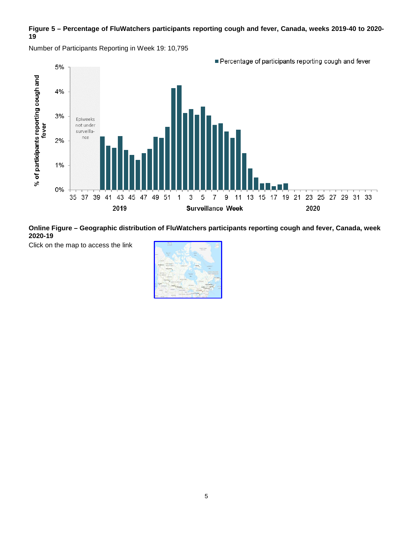## **Figure 5 – Percentage of FluWatchers participants reporting cough and fever, Canada, weeks 2019-40 to 2020- 19**



Number of Participants Reporting in Week 19: 10,795

**Online Figure – Geographic distribution of FluWatchers participants reporting cough and fever, Canada, week 2020-19**

Click on the map to access the link

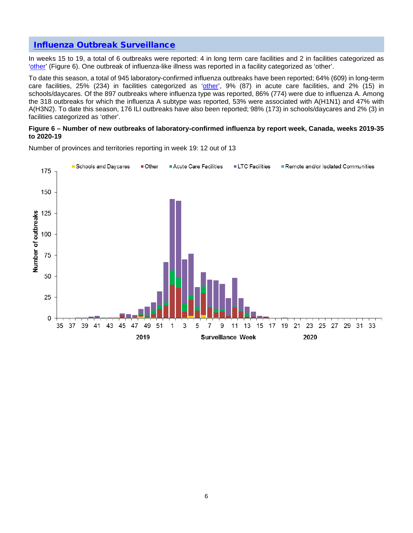## [Influenza Outbreak Surveillance](https://www.canada.ca/en/public-health/services/diseases/flu-influenza/influenza-surveillance/about-fluwatch.html#a5)

In weeks 15 to 19, a total of 6 outbreaks were reported: 4 in long term care facilities and 2 in facilities categorized as ['other'](https://www.canada.ca/en/public-health/services/diseases/flu-influenza/influenza-surveillance/about-fluwatch.html#a2.4) (Figure 6). One outbreak of influenza-like illness was reported in a facility categorized as 'other'.

To date this season, a total of 945 laboratory-confirmed influenza outbreaks have been reported; 64% (609) in long-term care facilities, 25% (234) in facilities categorized as ['other',](https://www.canada.ca/en/public-health/services/diseases/flu-influenza/influenza-surveillance/about-fluwatch.html#a2.4) 9% (87) in acute care facilities, and 2% (15) in schools/daycares. Of the 897 outbreaks where influenza type was reported, 86% (774) were due to influenza A. Among the 318 outbreaks for which the influenza A subtype was reported, 53% were associated with A(H1N1) and 47% with A(H3N2). To date this season, 176 ILI outbreaks have also been reported; 98% (173) in schools/daycares and 2% (3) in facilities categorized as 'other'.

#### **Figure 6 – Number of new outbreaks of laboratory-confirmed influenza by report week, Canada, weeks 2019-35 to 2020-19**



Number of provinces and territories reporting in week 19: 12 out of 13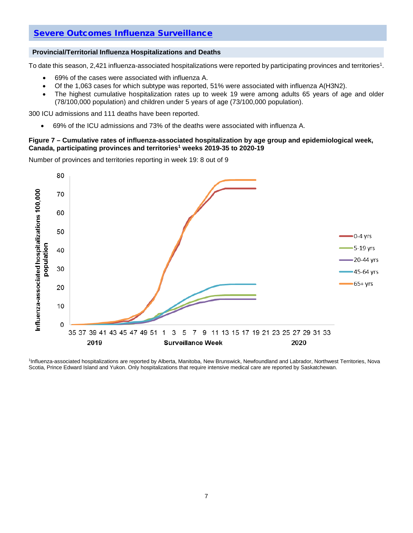## [Severe Outcomes Influenza Surveillance](https://www.canada.ca/en/public-health/services/diseases/flu-influenza/influenza-surveillance/about-fluwatch.html#a6)

### **Provincial/Territorial Influenza Hospitalizations and Deaths**

To date this season, 2,421 influenza-associated hospitalizations were reported by participating provinces and territories<sup>1</sup>.

- 69% of the cases were associated with influenza A.
- Of the 1,063 cases for which subtype was reported, 51% were associated with influenza A(H3N2).
- The highest cumulative hospitalization rates up to week 19 were among adults 65 years of age and older (78/100,000 population) and children under 5 years of age (73/100,000 population).

300 ICU admissions and 111 deaths have been reported.

• 69% of the ICU admissions and 73% of the deaths were associated with influenza A.

### **Figure 7 – Cumulative rates of influenza-associated hospitalization by age group and epidemiological week, Canada, participating provinces and territories1 weeks 2019-35 to 2020-19**

Number of provinces and territories reporting in week 19: 8 out of 9



1 Influenza-associated hospitalizations are reported by Alberta, Manitoba, New Brunswick, Newfoundland and Labrador, Northwest Territories, Nova Scotia, Prince Edward Island and Yukon. Only hospitalizations that require intensive medical care are reported by Saskatchewan.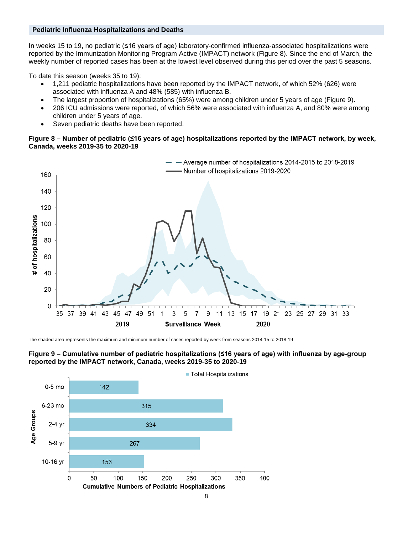#### **Pediatric Influenza Hospitalizations and Deaths**

In weeks 15 to 19, no pediatric (≤16 years of age) laboratory-confirmed influenza-associated hospitalizations were reported by the Immunization Monitoring Program Active (IMPACT) network (Figure 8). Since the end of March, the weekly number of reported cases has been at the lowest level observed during this period over the past 5 seasons.

To date this season (weeks 35 to 19):

- 1,211 pediatric hospitalizations have been reported by the IMPACT network, of which 52% (626) were associated with influenza A and 48% (585) with influenza B.
- The largest proportion of hospitalizations (65%) were among children under 5 years of age (Figure 9).
- 206 ICU admissions were reported, of which 56% were associated with influenza A, and 80% were among children under 5 years of age.
- Seven pediatric deaths have been reported.

### **Figure 8 – Number of pediatric (≤16 years of age) hospitalizations reported by the IMPACT network, by week, Canada, weeks 2019-35 to 2020-19**



The shaded area represents the maximum and minimum number of cases reported by week from seasons 2014-15 to 2018-19



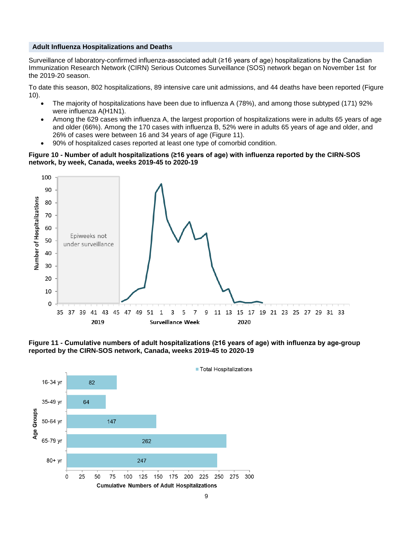#### **Adult Influenza Hospitalizations and Deaths**

Surveillance of laboratory-confirmed influenza-associated adult (≥16 years of age) hospitalizations by the Canadian Immunization Research Network (CIRN) Serious Outcomes Surveillance (SOS) network began on November 1st for the 2019-20 season.

To date this season, 802 hospitalizations, 89 intensive care unit admissions, and 44 deaths have been reported (Figure 10).

- The majority of hospitalizations have been due to influenza A (78%), and among those subtyped (171) 92% were influenza A(H1N1).
- Among the 629 cases with influenza A, the largest proportion of hospitalizations were in adults 65 years of age and older (66%). Among the 170 cases with influenza B, 52% were in adults 65 years of age and older, and 26% of cases were between 16 and 34 years of age (Figure 11).
- 90% of hospitalized cases reported at least one type of comorbid condition.

#### **Figure 10 - Number of adult hospitalizations (≥16 years of age) with influenza reported by the CIRN-SOS network, by week, Canada, weeks 2019-45 to 2020-19**



**Figure 11 - Cumulative numbers of adult hospitalizations (≥16 years of age) with influenza by age-group reported by the CIRN-SOS network, Canada, weeks 2019-45 to 2020-19**

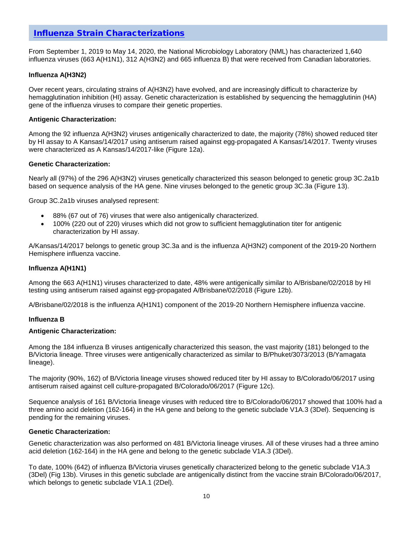## [Influenza Strain Characterizations](https://www.canada.ca/en/public-health/services/diseases/flu-influenza/influenza-surveillance/about-fluwatch.html#a7)

From September 1, 2019 to May 14, 2020, the National Microbiology Laboratory (NML) has characterized 1,640 influenza viruses (663 A(H1N1), 312 A(H3N2) and 665 influenza B) that were received from Canadian laboratories.

### **Influenza A(H3N2)**

Over recent years, circulating strains of A(H3N2) have evolved, and are increasingly difficult to characterize by hemagglutination inhibition (HI) assay. Genetic characterization is established by sequencing the hemagglutinin (HA) gene of the influenza viruses to compare their genetic properties.

### **Antigenic Characterization:**

Among the 92 influenza A(H3N2) viruses antigenically characterized to date, the majority (78%) showed reduced titer by HI assay to A Kansas/14/2017 using antiserum raised against egg-propagated A Kansas/14/2017. Twenty viruses were characterized as A Kansas/14/2017-like (Figure 12a).

### **Genetic Characterization:**

Nearly all (97%) of the 296 A(H3N2) viruses genetically characterized this season belonged to genetic group 3C.2a1b based on sequence analysis of the HA gene. Nine viruses belonged to the genetic group 3C.3a (Figure 13).

Group 3C.2a1b viruses analysed represent:

- 88% (67 out of 76) viruses that were also antigenically characterized.
- 100% (220 out of 220) viruses which did not grow to sufficient hemagglutination titer for antigenic characterization by HI assay.

A/Kansas/14/2017 belongs to genetic group 3C.3a and is the influenza A(H3N2) component of the 2019-20 Northern Hemisphere influenza vaccine.

### **Influenza A(H1N1)**

Among the 663 A(H1N1) viruses characterized to date, 48% were antigenically similar to A/Brisbane/02/2018 by HI testing using antiserum raised against egg-propagated A/Brisbane/02/2018 (Figure 12b).

A/Brisbane/02/2018 is the influenza A(H1N1) component of the 2019-20 Northern Hemisphere influenza vaccine.

#### **Influenza B**

#### **Antigenic Characterization:**

Among the 184 influenza B viruses antigenically characterized this season, the vast majority (181) belonged to the B/Victoria lineage. Three viruses were antigenically characterized as similar to B/Phuket/3073/2013 (B/Yamagata lineage).

The majority (90%, 162) of B/Victoria lineage viruses showed reduced titer by HI assay to B/Colorado/06/2017 using antiserum raised against cell culture-propagated B/Colorado/06/2017 (Figure 12c).

Sequence analysis of 161 B/Victoria lineage viruses with reduced titre to B/Colorado/06/2017 showed that 100% had a three amino acid deletion (162-164) in the HA gene and belong to the genetic subclade V1A.3 (3Del). Sequencing is pending for the remaining viruses.

#### **Genetic Characterization:**

Genetic characterization was also performed on 481 B/Victoria lineage viruses. All of these viruses had a three amino acid deletion (162-164) in the HA gene and belong to the genetic subclade V1A.3 (3Del).

To date, 100% (642) of influenza B/Victoria viruses genetically characterized belong to the genetic subclade V1A.3 (3Del) (Fig 13b). Viruses in this genetic subclade are antigenically distinct from the vaccine strain B/Colorado/06/2017, which belongs to genetic subclade V1A.1 (2Del).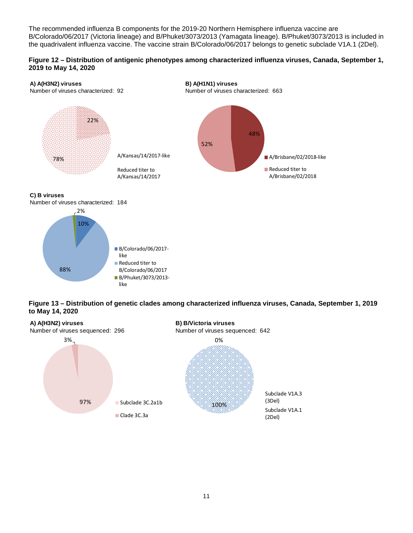The recommended influenza B components for the 2019-20 Northern Hemisphere influenza vaccine are B/Colorado/06/2017 (Victoria lineage) and B/Phuket/3073/2013 (Yamagata lineage). B/Phuket/3073/2013 is included in the quadrivalent influenza vaccine. The vaccine strain B/Colorado/06/2017 belongs to genetic subclade V1A.1 (2Del).

## **Figure 12 – Distribution of antigenic phenotypes among characterized influenza viruses, Canada, September 1, 2019 to May 14, 2020**



### **C) B viruses**

Number of viruses characterized: 184





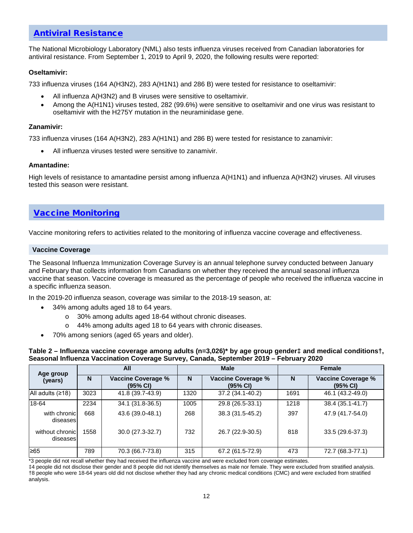## [Antiviral Resistance](https://www.canada.ca/en/public-health/services/diseases/flu-influenza/influenza-surveillance/about-fluwatch.html#a7)

The National Microbiology Laboratory (NML) also tests influenza viruses received from Canadian laboratories for antiviral resistance. From September 1, 2019 to April 9, 2020, the following results were reported:

## **Oseltamivir:**

733 influenza viruses (164 A(H3N2), 283 A(H1N1) and 286 B) were tested for resistance to oseltamivir:

- All influenza A(H3N2) and B viruses were sensitive to oseltamivir.
- Among the A(H1N1) viruses tested, 282 (99.6%) were sensitive to oseltamivir and one virus was resistant to oseltamivir with the H275Y mutation in the neuraminidase gene.

### **Zanamivir:**

733 influenza viruses (164 A(H3N2), 283 A(H1N1) and 286 B) were tested for resistance to zanamivir:

All influenza viruses tested were sensitive to zanamivir.

#### **Amantadine:**

High levels of resistance to amantadine persist among influenza A(H1N1) and influenza A(H3N2) viruses. All viruses tested this season were resistant.

## [Vaccine Monitoring](https://www.canada.ca/en/public-health/services/diseases/flu-influenza/influenza-surveillance/about-fluwatch.html#a8)

Vaccine monitoring refers to activities related to the monitoring of influenza vaccine coverage and effectiveness.

#### **Vaccine Coverage**

The Seasonal Influenza Immunization Coverage Survey is an annual telephone survey conducted between January and February that collects information from Canadians on whether they received the annual seasonal influenza vaccine that season. Vaccine coverage is measured as the percentage of people who received the influenza vaccine in a specific influenza season.

In the 2019-20 influenza season, coverage was similar to the 2018-19 season, at:

- 34% among adults aged 18 to 64 years.
	- o 30% among adults aged 18-64 without chronic diseases.
	- o 44% among adults aged 18 to 64 years with chronic diseases.
- 70% among seniors (aged 65 years and older).

**Table 2 – Influenza vaccine coverage among adults (n=3,026)\* by age group gender‡ and medical conditions†, Seasonal Influenza Vaccination Coverage Survey, Canada, September 2019 – February 2020**

| Age group                    | All  |                                       |      | <b>Male</b>                           | <b>Female</b> |                                                   |  |
|------------------------------|------|---------------------------------------|------|---------------------------------------|---------------|---------------------------------------------------|--|
| (years)                      | N    | <b>Vaccine Coverage %</b><br>(95% CI) | N    | <b>Vaccine Coverage %</b><br>(95% CI) | N             | <b>Vaccine Coverage %</b><br>$(95% \, \text{Cl})$ |  |
| All adults $(218)$           | 3023 | 41.8 (39.7-43.9)                      | 1320 | 37.2 (34.1-40.2)                      | 1691          | 46.1 (43.2-49.0)                                  |  |
| 18-64                        | 2234 | 34.1 (31.8-36.5)                      | 1005 | 29.8 (26.5-33.1)                      | 1218          | 38.4 (35.1-41.7)                                  |  |
| with chronicl<br>diseases    | 668  | 43.6 (39.0-48.1)                      | 268  | 38.3 (31.5-45.2)                      | 397           | 47.9 (41.7-54.0)                                  |  |
| without chronicl<br>diseases | 1558 | 30.0 (27.3-32.7)                      | 732  | 26.7 (22.9-30.5)                      | 818           | 33.5 (29.6-37.3)                                  |  |
| ≥65                          | 789  | 70.3 (66.7-73.8)                      | 315  | 67.2 (61.5-72.9)                      | 473           | 72.7 (68.3-77.1)                                  |  |

\*3 people did not recall whether they had received the influenza vaccine and were excluded from coverage estimates.

‡4 people did not disclose their gender and 8 people did not identify themselves as male nor female. They were excluded from stratified analysis. †8 people who were 18-64 years old did not disclose whether they had any chronic medical conditions (CMC) and were excluded from stratified analysis.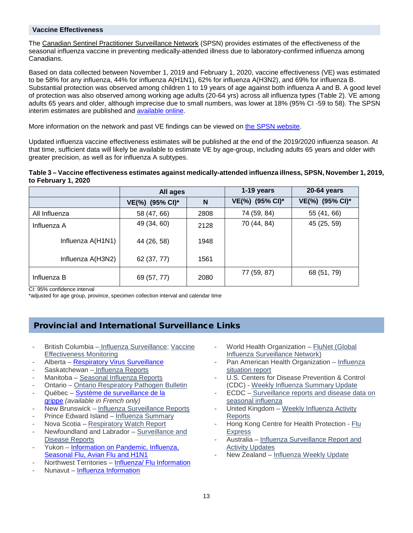## **Vaccine Effectiveness**

The [Canadian Sentinel Practitioner Surveillance Network](http://www.bccdc.ca/Health-Info-Site/Pages/Diseases-Conditions/Flu-Influenza/Sentinel-Network-SPSN.aspx) (SPSN) provides estimates of the effectiveness of the seasonal influenza vaccine in preventing medically-attended illness due to laboratory-confirmed influenza among Canadians.

Based on data collected between November 1, 2019 and February 1, 2020, vaccine effectiveness (VE) was estimated to be 58% for any influenza, 44% for influenza A(H1N1), 62% for influenza A(H3N2), and 69% for influenza B. Substantial protection was observed among children 1 to 19 years of age against both influenza A and B. A good level of protection was also observed among working age adults (20-64 yrs) across all influenza types (Table 2). VE among adults 65 years and older, although imprecise due to small numbers, was lower at 18% (95% CI -59 to 58). The SPSN interim estimates are published and [available online.](https://www.eurosurveillance.org/content/10.2807/1560-7917.ES.2020.25.7.2000103)

More information on the network and past VE findings can be viewed on [the SPSN website.](http://www.bccdc.ca/health-info/diseases-conditions/influenza/sentinel-network-spsn)

Updated influenza vaccine effectiveness estimates will be published at the end of the 2019/2020 influenza season. At that time, sufficient data will likely be available to estimate VE by age-group, including adults 65 years and older with greater precision, as well as for influenza A subtypes.

#### **Table 3 – Vaccine effectiveness estimates against medically-attended influenza illness, SPSN, November 1, 2019, to February 1, 2020**

|                   | All ages        |      | 1-19 years      | 20-64 years     |
|-------------------|-----------------|------|-----------------|-----------------|
|                   | VE(%) (95% CI)* | N    | VE(%) (95% CI)* | VE(%) (95% CI)* |
| All Influenza     | 58 (47, 66)     | 2808 | 74 (59, 84)     | 55 (41, 66)     |
| Influenza A       | 49 (34, 60)     | 2128 | 70 (44, 84)     | 45 (25, 59)     |
| Influenza A(H1N1) | 44 (26, 58)     | 1948 |                 |                 |
| Influenza A(H3N2) | 62 (37, 77)     | 1561 |                 |                 |
| Influenza B       | 69 (57, 77)     | 2080 | 77 (59, 87)     | 68 (51, 79)     |

CI: 95% confidence interval

\*adjusted for age group, province, specimen collection interval and calendar time

# Provincial and International Surveillance Links

- British Columbia [Influenza Surveillance;](http://www.bccdc.ca/health-professionals/data-reports/communicable-diseases/influenza-surveillance-reports) Vaccine [Effectiveness Monitoring](http://www.bccdc.ca/health-info/diseases-conditions/influenza/sentinel-network-spsn)
- Alberta [Respiratory Virus Surveillance](https://public.tableau.com/profile/surveillance.reporting.ahs#!/vizhome/AlbertaHealthServicesRespiratoryVirusSurveillance/Summary)
- Saskatchewan [Influenza Reports](https://www.saskatchewan.ca/government/government-structure/ministries/health/other-reports/influenza-reports)
- Manitoba [Seasonal Influenza Reports](http://www.gov.mb.ca/health/publichealth/surveillance/influenza/index.html)
- Ontario [Ontario Respiratory Pathogen Bulletin](https://www.publichealthontario.ca/en/ServicesAndTools/SurveillanceServices/Pages/Ontario-Respiratory-Virus-Bulletin.aspx)
- Québec Système de surveillance de la [grippe](https://www.msss.gouv.qc.ca/professionnels/maladies-infectieuses/grippe/) *(available in French only)*
- New Brunswick [Influenza Surveillance Reports](http://www2.gnb.ca/content/gnb/en/departments/ocmoh/cdc/content/influenza/influenza_surveillance_activities.html)
- Prince Edward Island [Influenza Summary](https://www.princeedwardisland.ca/en/information/health-and-wellness/pei-influenza-summary-2017-2018-season)
- Nova Scotia [Respiratory Watch Report](https://novascotia.ca/dhw/populationhealth/)
- Newfoundland and Labrador Surveillance and [Disease Reports](https://www.health.gov.nl.ca/health/publichealth/cdc/informationandsurveillance.html)
- Yukon Information on Pandemic, Influenza, [Seasonal Flu, Avian Flu and H1N1](http://www.hss.gov.yk.ca/flu.php)
- Northwest Territories [Influenza/ Flu Information](https://www.hss.gov.nt.ca/en/services/influenza-flu)
- Nunavut [Influenza Information](https://www.gov.nu.ca/health/information/influenza)
- World Health Organization FluNet (Global [Influenza Surveillance Network\)](http://www.who.int/flunet)
- Pan American Health Organization Influenza [situation report](http://new.paho.org/hq/index.php?option=com_content&task=view&id=3352&Itemid=2469&to=2246)
- U.S. Centers for Disease Prevention & Control (CDC) - [Weekly Influenza Summary Update](http://www.cdc.gov/flu/weekly/fluactivitysurv.htm)
- ECDC Surveillance reports and disease data on [seasonal influenza](https://ecdc.europa.eu/en/seasonal-influenza/surveillance-reports-and-disease-data)
- United Kingdom Weekly Influenza Activity [Reports](https://www.gov.uk/government/statistics/weekly-national-flu-reports)
- Hong Kong Centre for Health Protection [Flu](https://www.chp.gov.hk/en/resources/29/304.html)  **[Express](https://www.chp.gov.hk/en/resources/29/304.html)**
- Australia Influenza Surveillance Report and [Activity Updates](http://www.health.gov.au/internet/main/publishing.nsf/content/cda-surveil-ozflu-flucurr.htm)
- New Zealand [Influenza Weekly Update](https://surv.esr.cri.nz/virology/influenza_weekly_update.php)